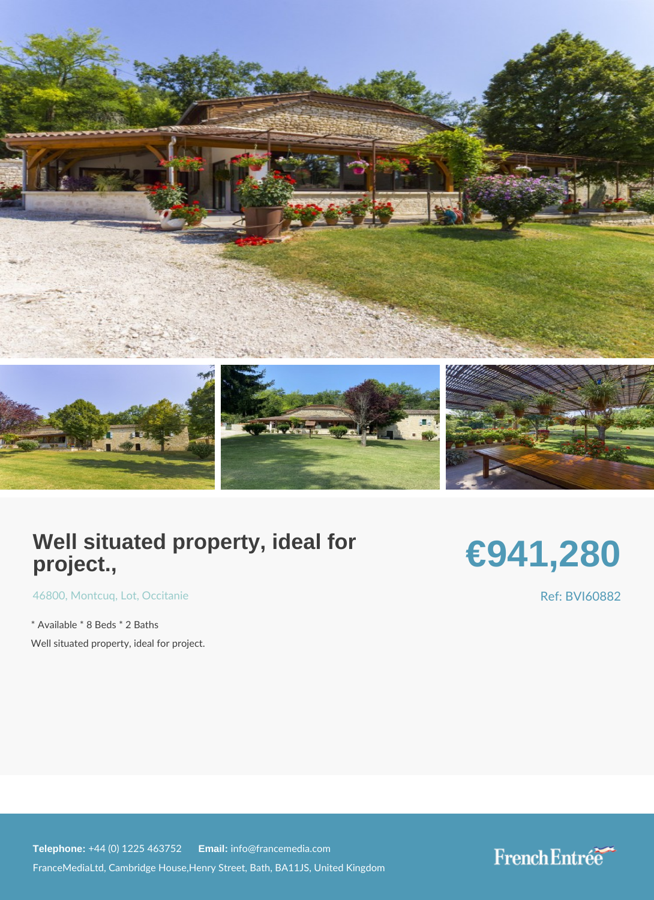## Well situated property, ideal for project.,

## €941,280

[4680](https://www.frenchentree.com/property-for-sale/property-for-sale-france/46800-xx-montcuq-xx-lot-xx-occitanie)[, Montc](https://www.frenchentree.com/property-for-sale/property-for-sale-france/46800-xx-montcuq-xx-lot-xx-occitanie)uLop, tOccitanie

\* Available \* 8 Beds \* 2 Baths Well situated property, ideal for project. Ref: BVI60882

Telephone: +44 (0) 1225 46E3m2a & 2info@francemedia.com FranceMediaLtd, Cambridge House,Henry Street, Bath, BA11JS, United Kingdom